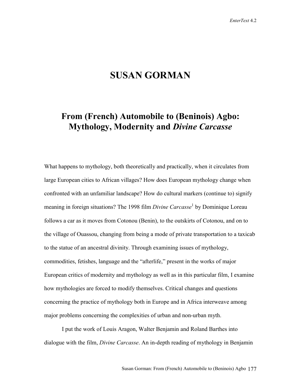# **SUSAN GORMAN**

# **From (French) Automobile to (Beninois) Agbo: Mythology, Modernity and** *Divine Carcasse*

What happens to mythology, both theoretically and practically, when it circulates from large European cities to African villages? How does European mythology change when confronted with an unfamiliar landscape? How do cultural markers (continue to) signify meaning in foreign situations? The 1998 film *Divine Carcasse*<sup>1</sup> by Dominique Loreau follows a car as it moves from Cotonou (Benin), to the outskirts of Cotonou, and on to the village of Ouassou, changing from being a mode of private transportation to a taxicab to the statue of an ancestral divinity. Through examining issues of mythology, commodities, fetishes, language and the "afterlife," present in the works of major European critics of modernity and mythology as well as in this particular film, I examine how mythologies are forced to modify themselves. Critical changes and questions concerning the practice of mythology both in Europe and in Africa interweave among major problems concerning the complexities of urban and non-urban myth.

I put the work of Louis Aragon, Walter Benjamin and Roland Barthes into dialogue with the film, *Divine Carcasse*. An in-depth reading of mythology in Benjamin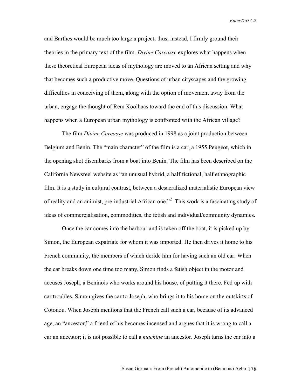and Barthes would be much too large a project; thus, instead, I firmly ground their theories in the primary text of the film. *Divine Carcasse* explores what happens when these theoretical European ideas of mythology are moved to an African setting and why that becomes such a productive move. Questions of urban cityscapes and the growing difficulties in conceiving of them, along with the option of movement away from the urban, engage the thought of Rem Koolhaas toward the end of this discussion. What happens when a European urban mythology is confronted with the African village?

The film *Divine Carcasse* was produced in 1998 as a joint production between Belgium and Benin. The "main character" of the film is a car, a 1955 Peugeot, which in the opening shot disembarks from a boat into Benin. The film has been described on the California Newsreel website as "an unusual hybrid, a half fictional, half ethnographic film. It is a study in cultural contrast, between a desacralized materialistic European view of reality and an animist, pre-industrial African one."<sup>2</sup> This work is a fascinating study of ideas of commercialisation, commodities, the fetish and individual/community dynamics.

 Once the car comes into the harbour and is taken off the boat, it is picked up by Simon, the European expatriate for whom it was imported. He then drives it home to his French community, the members of which deride him for having such an old car. When the car breaks down one time too many, Simon finds a fetish object in the motor and accuses Joseph, a Beninois who works around his house, of putting it there. Fed up with car troubles, Simon gives the car to Joseph, who brings it to his home on the outskirts of Cotonou. When Joseph mentions that the French call such a car, because of its advanced age, an "ancestor," a friend of his becomes incensed and argues that it is wrong to call a car an ancestor; it is not possible to call a *machine* an ancestor. Joseph turns the car into a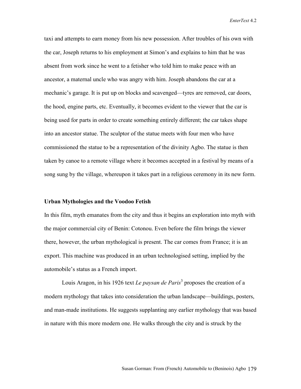taxi and attempts to earn money from his new possession. After troubles of his own with the car, Joseph returns to his employment at Simon's and explains to him that he was absent from work since he went to a fetisher who told him to make peace with an ancestor, a maternal uncle who was angry with him. Joseph abandons the car at a mechanic's garage. It is put up on blocks and scavenged—tyres are removed, car doors, the hood, engine parts, etc. Eventually, it becomes evident to the viewer that the car is being used for parts in order to create something entirely different; the car takes shape into an ancestor statue. The sculptor of the statue meets with four men who have commissioned the statue to be a representation of the divinity Agbo. The statue is then taken by canoe to a remote village where it becomes accepted in a festival by means of a song sung by the village, whereupon it takes part in a religious ceremony in its new form.

#### **Urban Mythologies and the Voodoo Fetish**

In this film, myth emanates from the city and thus it begins an exploration into myth with the major commercial city of Benin: Cotonou. Even before the film brings the viewer there, however, the urban mythological is present. The car comes from France; it is an export. This machine was produced in an urban technologised setting, implied by the automobile's status as a French import.

Louis Aragon, in his 1926 text *Le paysan de Paris*<sup>3</sup> proposes the creation of a modern mythology that takes into consideration the urban landscape—buildings, posters, and man-made institutions. He suggests supplanting any earlier mythology that was based in nature with this more modern one. He walks through the city and is struck by the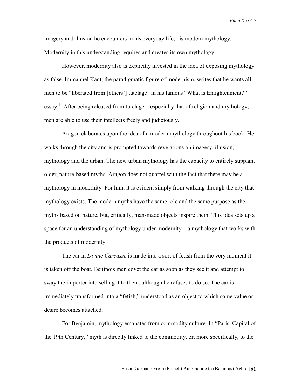imagery and illusion he encounters in his everyday life, his modern mythology. Modernity in this understanding requires and creates its own mythology.

 However, modernity also is explicitly invested in the idea of exposing mythology as false. Immanuel Kant, the paradigmatic figure of modernism, writes that he wants all men to be "liberated from [others'] tutelage" in his famous "What is Enlightenment?" essay.<sup>4</sup> After being released from tutelage—especially that of religion and mythology, men are able to use their intellects freely and judiciously.

 Aragon elaborates upon the idea of a modern mythology throughout his book. He walks through the city and is prompted towards revelations on imagery, illusion, mythology and the urban. The new urban mythology has the capacity to entirely supplant older, nature-based myths. Aragon does not quarrel with the fact that there may be a mythology in modernity. For him, it is evident simply from walking through the city that mythology exists. The modern myths have the same role and the same purpose as the myths based on nature, but, critically, man-made objects inspire them. This idea sets up a space for an understanding of mythology under modernity—a mythology that works with the products of modernity.

 The car in *Divine Carcasse* is made into a sort of fetish from the very moment it is taken off the boat. Beninois men covet the car as soon as they see it and attempt to sway the importer into selling it to them, although he refuses to do so. The car is immediately transformed into a "fetish," understood as an object to which some value or desire becomes attached.

 For Benjamin, mythology emanates from commodity culture. In "Paris, Capital of the 19th Century," myth is directly linked to the commodity, or, more specifically, to the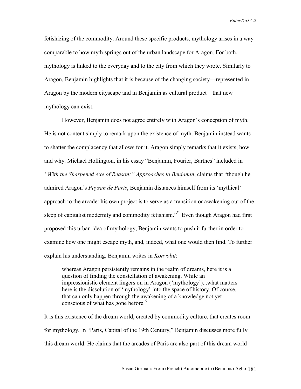fetishizing of the commodity. Around these specific products, mythology arises in a way comparable to how myth springs out of the urban landscape for Aragon. For both, mythology is linked to the everyday and to the city from which they wrote. Similarly to Aragon, Benjamin highlights that it is because of the changing society—represented in Aragon by the modern cityscape and in Benjamin as cultural product—that new mythology can exist.

 However, Benjamin does not agree entirely with Aragon's conception of myth. He is not content simply to remark upon the existence of myth. Benjamin instead wants to shatter the complacency that allows for it. Aragon simply remarks that it exists, how and why. Michael Hollington, in his essay "Benjamin, Fourier, Barthes" included in *"With the Sharpened Axe of Reason:" Approaches to Benjamin*, claims that "though he admired Aragon's *Paysan de Paris*, Benjamin distances himself from its 'mythical' approach to the arcade: his own project is to serve as a transition or awakening out of the sleep of capitalist modernity and commodity fetishism.<sup>55</sup> Even though Aragon had first proposed this urban idea of mythology, Benjamin wants to push it further in order to examine how one might escape myth, and, indeed, what one would then find. To further explain his understanding, Benjamin writes in *Konvolut*:

whereas Aragon persistently remains in the realm of dreams, here it is a question of finding the constellation of awakening. While an impressionistic element lingers on in Aragon ('mythology')...what matters here is the dissolution of 'mythology' into the space of history. Of course, that can only happen through the awakening of a knowledge not yet conscious of what has gone before. $6$ 

It is this existence of the dream world, created by commodity culture, that creates room for mythology. In "Paris, Capital of the 19th Century," Benjamin discusses more fully this dream world. He claims that the arcades of Paris are also part of this dream world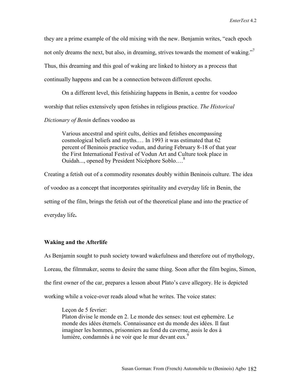they are a prime example of the old mixing with the new. Benjamin writes, "each epoch not only dreams the next, but also, in dreaming, strives towards the moment of waking."<sup>7</sup> Thus, this dreaming and this goal of waking are linked to history as a process that continually happens and can be a connection between different epochs.

On a different level, this fetishizing happens in Benin, a centre for voodoo worship that relies extensively upon fetishes in religious practice. *The Historical* 

## *Dictionary of Benin* defines voodoo as

Various ancestral and spirit cults, deities and fetishes encompassing cosmological beliefs and myths.… In 1993 it was estimated that 62 percent of Beninois practice vodun, and during February 8-18 of that year the First International Festival of Vodun Art and Culture took place in Ouidah..., opened by President Nicéphore Soblo.…8

Creating a fetish out of a commodity resonates doubly within Beninois culture. The idea of voodoo as a concept that incorporates spirituality and everyday life in Benin, the setting of the film, brings the fetish out of the theoretical plane and into the practice of everyday life**.** 

### **Waking and the Afterlife**

As Benjamin sought to push society toward wakefulness and therefore out of mythology, Loreau, the filmmaker, seems to desire the same thing. Soon after the film begins, Simon, the first owner of the car, prepares a lesson about Plato's cave allegory. He is depicted working while a voice-over reads aloud what he writes. The voice states:

Lecon de 5 fevrier: Platon divise le monde en 2. Le monde des senses: tout est ephemère. Le monde des idées éternels. Connaissance est du monde des idées. Il faut imaginer les hommes, prisonniers au fond du caverne, assis le dos à lumière, condamnés à ne voir que le mur devant eux.<sup>9</sup>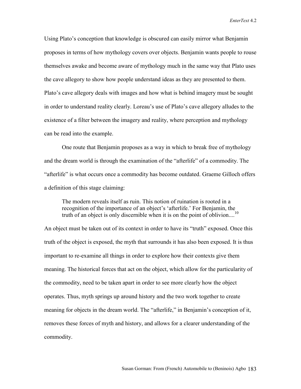Using Plato's conception that knowledge is obscured can easily mirror what Benjamin proposes in terms of how mythology covers over objects. Benjamin wants people to rouse themselves awake and become aware of mythology much in the same way that Plato uses the cave allegory to show how people understand ideas as they are presented to them. Plato's cave allegory deals with images and how what is behind imagery must be sought in order to understand reality clearly. Loreau's use of Plato's cave allegory alludes to the existence of a filter between the imagery and reality, where perception and mythology can be read into the example.

One route that Benjamin proposes as a way in which to break free of mythology and the dream world is through the examination of the "afterlife" of a commodity. The "afterlife" is what occurs once a commodity has become outdated. Graeme Gilloch offers a definition of this stage claiming:

The modern reveals itself as ruin. This notion of ruination is rooted in a recognition of the importance of an object's 'afterlife.' For Benjamin, the truth of an object is only discernible when it is on the point of oblivion....<sup>10</sup>

An object must be taken out of its context in order to have its "truth" exposed. Once this truth of the object is exposed, the myth that surrounds it has also been exposed. It is thus important to re-examine all things in order to explore how their contexts give them meaning. The historical forces that act on the object, which allow for the particularity of the commodity, need to be taken apart in order to see more clearly how the object operates. Thus, myth springs up around history and the two work together to create meaning for objects in the dream world. The "afterlife," in Benjamin's conception of it, removes these forces of myth and history, and allows for a clearer understanding of the commodity.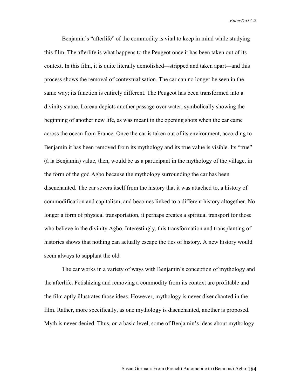Benjamin's "afterlife" of the commodity is vital to keep in mind while studying this film. The afterlife is what happens to the Peugeot once it has been taken out of its context. In this film, it is quite literally demolished—stripped and taken apart—and this process shows the removal of contextualisation. The car can no longer be seen in the same way; its function is entirely different. The Peugeot has been transformed into a divinity statue. Loreau depicts another passage over water, symbolically showing the beginning of another new life, as was meant in the opening shots when the car came across the ocean from France. Once the car is taken out of its environment, according to Benjamin it has been removed from its mythology and its true value is visible. Its "true" (à la Benjamin) value, then, would be as a participant in the mythology of the village, in the form of the god Agbo because the mythology surrounding the car has been disenchanted. The car severs itself from the history that it was attached to, a history of commodification and capitalism, and becomes linked to a different history altogether. No longer a form of physical transportation, it perhaps creates a spiritual transport for those who believe in the divinity Agbo. Interestingly, this transformation and transplanting of histories shows that nothing can actually escape the ties of history. A new history would seem always to supplant the old.

 The car works in a variety of ways with Benjamin's conception of mythology and the afterlife. Fetishizing and removing a commodity from its context are profitable and the film aptly illustrates those ideas. However, mythology is never disenchanted in the film. Rather, more specifically, as one mythology is disenchanted, another is proposed. Myth is never denied. Thus, on a basic level, some of Benjamin's ideas about mythology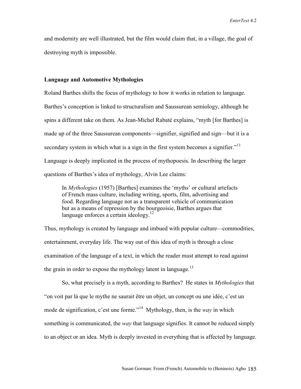and modernity are well illustrated, but the film would claim that, in a village, the goal of destroying myth is impossible.

### **Language and Automotive Mythologies**

Roland Barthes shifts the focus of mythology to how it works in relation to language. Barthes's conception is linked to structuralism and Saussurean semiology, although he spins a different take on them. As Jean-Michel Rabaté explains, "myth [for Barthes] is made up of the three Saussurean components—signifier, signified and sign—but it is a secondary system in which what is a sign in the first system becomes a signifier." $11$ Language is deeply implicated in the process of mythopoesis. In describing the larger questions of Barthes's idea of mythology, Alvin Lee claims:

In *Mythologies* (1957) [Barthes] examines the 'myths' or cultural artefacts of French mass culture, including writing, sports, film, advertising and food. Regarding language not as a transparent vehicle of communication but as a means of repression by the bourgeoisie, Barthes argues that language enforces a certain ideology. $12$ 

Thus, mythology is created by language and imbued with popular culture—commodities, entertainment, everyday life. The way out of this idea of myth is through a close examination of the language of a text, in which the reader must attempt to read against the grain in order to expose the mythology latent in language.<sup>13</sup>

 So, what precisely is a myth, according to Barthes? He states in *Mythologies* that "on voit par là que le mythe ne saurait être un objet, un concept ou une idée, c'est un mode de signification, c'est une forme."14 Mythology, then, is the *way* in which something is communicated, the *way* that language signifies. It cannot be reduced simply to an object or an idea. Myth is deeply invested in everything that is affected by language.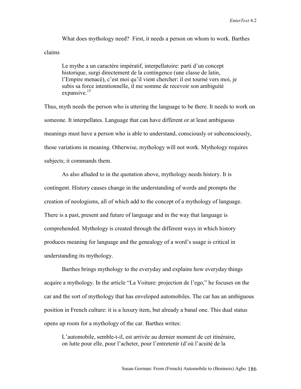What does mythology need? First, it needs a person on whom to work. Barthes claims

Le mythe a un caractère impératif, interpellatoire: parti d'un concept historique, surgi directement de la contingence (une classe de latin, l'Empire menacé), c'est moi qu'il vient chercher: il est tourné vers moi, je subis sa force intentionnelle, il me somme de recevoir son ambiguité expansive.<sup>15</sup>

Thus, myth needs the person who is uttering the language to be there. It needs to work on someone. It interpellates. Language that can have different or at least ambiguous meanings must have a person who is able to understand, consciously or subconsciously, those variations in meaning. Otherwise, mythology will not work. Mythology requires subjects; it commands them.

 As also alluded to in the quotation above, mythology needs history. It is contingent. History causes change in the understanding of words and prompts the creation of neologisms, all of which add to the concept of a mythology of language. There is a past, present and future of language and in the way that language is comprehended. Mythology is created through the different ways in which history produces meaning for language and the genealogy of a word's usage is critical in understanding its mythology.

 Barthes brings mythology to the everyday and explains how everyday things acquire a mythology. In the article "La Voiture: projection de l'ego," he focuses on the car and the sort of mythology that has enveloped automobiles. The car has an ambiguous position in French culture: it is a luxury item, but already a banal one. This dual status opens up room for a mythology of the car. Barthes writes:

L'automobile, semble-t-il, est arrivée au dernier moment de cet itinéraire, on lutte pour elle, pour l'acheter, pour l'entretenir (d'où l'acuité de la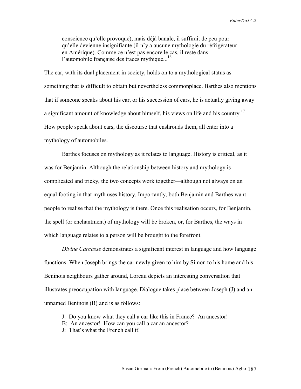conscience qu'elle provoque), mais déjà banale, il suffirait de peu pour qu'elle devienne insignifiante (il n'y a aucune mythologie du réfrigérateur en Amérique). Comme ce n'est pas encore le cas, il reste dans l'automobile française des traces mythique...<sup>16</sup>

The car, with its dual placement in society, holds on to a mythological status as something that is difficult to obtain but nevertheless commonplace. Barthes also mentions that if someone speaks about his car, or his succession of cars, he is actually giving away a significant amount of knowledge about himself, his views on life and his country.<sup>17</sup> How people speak about cars, the discourse that enshrouds them, all enter into a mythology of automobiles.

 Barthes focuses on mythology as it relates to language. History is critical, as it was for Benjamin. Although the relationship between history and mythology is complicated and tricky, the two concepts work together—although not always on an equal footing in that myth uses history. Importantly, both Benjamin and Barthes want people to realise that the mythology is there. Once this realisation occurs, for Benjamin, the spell (or enchantment) of mythology will be broken, or, for Barthes, the ways in which language relates to a person will be brought to the forefront.

*Divine Carcasse* demonstrates a significant interest in language and how language functions. When Joseph brings the car newly given to him by Simon to his home and his Beninois neighbours gather around, Loreau depicts an interesting conversation that illustrates preoccupation with language. Dialogue takes place between Joseph (J) and an unnamed Beninois (B) and is as follows:

- J: Do you know what they call a car like this in France? An ancestor!
- B: An ancestor! How can you call a car an ancestor?
- J: That's what the French call it!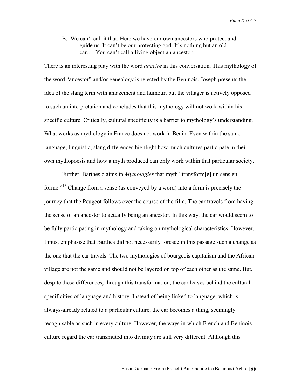B: We can't call it that. Here we have our own ancestors who protect and guide us. It can't be our protecting god. It's nothing but an old car.… You can't call a living object an ancestor.

There is an interesting play with the word *ancêtre* in this conversation. This mythology of the word "ancestor" and/or genealogy is rejected by the Beninois. Joseph presents the idea of the slang term with amazement and humour, but the villager is actively opposed to such an interpretation and concludes that this mythology will not work within his specific culture. Critically, cultural specificity is a barrier to mythology's understanding. What works as mythology in France does not work in Benin. Even within the same language, linguistic, slang differences highlight how much cultures participate in their own mythopoesis and how a myth produced can only work within that particular society.

 Further, Barthes claims in *Mythologies* that myth "transform[e] un sens en forme."18 Change from a sense (as conveyed by a word) into a form is precisely the journey that the Peugeot follows over the course of the film. The car travels from having the sense of an ancestor to actually being an ancestor. In this way, the car would seem to be fully participating in mythology and taking on mythological characteristics. However, I must emphasise that Barthes did not necessarily foresee in this passage such a change as the one that the car travels. The two mythologies of bourgeois capitalism and the African village are not the same and should not be layered on top of each other as the same. But, despite these differences, through this transformation, the car leaves behind the cultural specificities of language and history. Instead of being linked to language, which is always-already related to a particular culture, the car becomes a thing, seemingly recognisable as such in every culture. However, the ways in which French and Beninois culture regard the car transmuted into divinity are still very different. Although this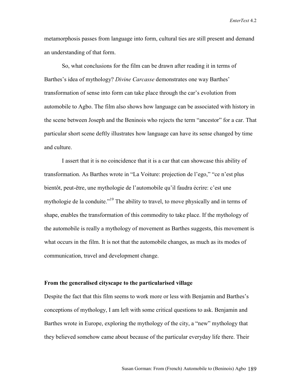metamorphosis passes from language into form, cultural ties are still present and demand an understanding of that form.

 So, what conclusions for the film can be drawn after reading it in terms of Barthes's idea of mythology? *Divine Carcasse* demonstrates one way Barthes' transformation of sense into form can take place through the car's evolution from automobile to Agbo. The film also shows how language can be associated with history in the scene between Joseph and the Beninois who rejects the term "ancestor" for a car. That particular short scene deftly illustrates how language can have its sense changed by time and culture.

I assert that it is no coincidence that it is a car that can showcase this ability of transformation. As Barthes wrote in "La Voiture: projection de l'ego," "ce n'est plus bientôt, peut-être, une mythologie de l'automobile qu'il faudra écrire: c'est une mythologie de la conduite."<sup>19</sup> The ability to travel, to move physically and in terms of shape, enables the transformation of this commodity to take place. If the mythology of the automobile is really a mythology of movement as Barthes suggests, this movement is what occurs in the film. It is not that the automobile changes, as much as its modes of communication, travel and development change.

#### **From the generalised cityscape to the particularised village**

Despite the fact that this film seems to work more or less with Benjamin and Barthes's conceptions of mythology, I am left with some critical questions to ask. Benjamin and Barthes wrote in Europe, exploring the mythology of the city, a "new" mythology that they believed somehow came about because of the particular everyday life there. Their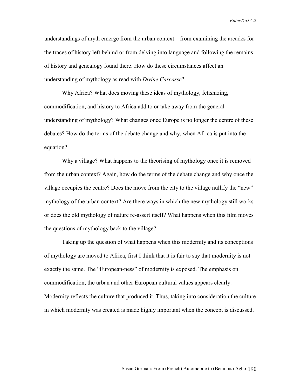understandings of myth emerge from the urban context—from examining the arcades for the traces of history left behind or from delving into language and following the remains of history and genealogy found there. How do these circumstances affect an understanding of mythology as read with *Divine Carcasse*?

 Why Africa? What does moving these ideas of mythology, fetishizing, commodification, and history to Africa add to or take away from the general understanding of mythology? What changes once Europe is no longer the centre of these debates? How do the terms of the debate change and why, when Africa is put into the equation?

 Why a village? What happens to the theorising of mythology once it is removed from the urban context? Again, how do the terms of the debate change and why once the village occupies the centre? Does the move from the city to the village nullify the "new" mythology of the urban context? Are there ways in which the new mythology still works or does the old mythology of nature re-assert itself? What happens when this film moves the questions of mythology back to the village?

 Taking up the question of what happens when this modernity and its conceptions of mythology are moved to Africa, first I think that it is fair to say that modernity is not exactly the same. The "European-ness" of modernity is exposed. The emphasis on commodification, the urban and other European cultural values appears clearly. Modernity reflects the culture that produced it. Thus, taking into consideration the culture in which modernity was created is made highly important when the concept is discussed.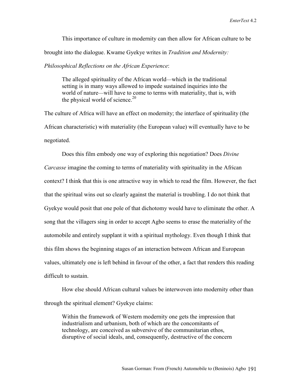This importance of culture in modernity can then allow for African culture to be brought into the dialogue. Kwame Gyekye writes in *Tradition and Modernity: Philosophical Reflections on the African Experience*:

The alleged spirituality of the African world—which in the traditional setting is in many ways allowed to impede sustained inquiries into the world of nature—will have to come to terms with materiality, that is, with the physical world of science. $20$ 

The culture of Africa will have an effect on modernity; the interface of spirituality (the African characteristic) with materiality (the European value) will eventually have to be negotiated.

 Does this film embody one way of exploring this negotiation? Does *Divine Carcasse* imagine the coming to terms of materiality with spirituality in the African context? I think that this is one attractive way in which to read the film. However, the fact that the spiritual wins out so clearly against the material is troubling. I do not think that Gyekye would posit that one pole of that dichotomy would have to eliminate the other. A song that the villagers sing in order to accept Agbo seems to erase the materiality of the automobile and entirely supplant it with a spiritual mythology. Even though I think that this film shows the beginning stages of an interaction between African and European values, ultimately one is left behind in favour of the other, a fact that renders this reading difficult to sustain.

 How else should African cultural values be interwoven into modernity other than through the spiritual element? Gyekye claims:

Within the framework of Western modernity one gets the impression that industrialism and urbanism, both of which are the concomitants of technology, are conceived as subversive of the communitarian ethos, disruptive of social ideals, and, consequently, destructive of the concern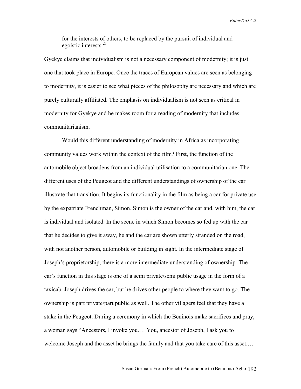for the interests of others, to be replaced by the pursuit of individual and egoistic interests. $21$ 

Gyekye claims that individualism is not a necessary component of modernity; it is just one that took place in Europe. Once the traces of European values are seen as belonging to modernity, it is easier to see what pieces of the philosophy are necessary and which are purely culturally affiliated. The emphasis on individualism is not seen as critical in modernity for Gyekye and he makes room for a reading of modernity that includes communitarianism.

 Would this different understanding of modernity in Africa as incorporating community values work within the context of the film? First, the function of the automobile object broadens from an individual utilisation to a communitarian one. The different uses of the Peugeot and the different understandings of ownership of the car illustrate that transition. It begins its functionality in the film as being a car for private use by the expatriate Frenchman, Simon. Simon is the owner of the car and, with him, the car is individual and isolated. In the scene in which Simon becomes so fed up with the car that he decides to give it away, he and the car are shown utterly stranded on the road, with not another person, automobile or building in sight. In the intermediate stage of Joseph's proprietorship, there is a more intermediate understanding of ownership. The car's function in this stage is one of a semi private/semi public usage in the form of a taxicab. Joseph drives the car, but he drives other people to where they want to go. The ownership is part private/part public as well. The other villagers feel that they have a stake in the Peugeot. During a ceremony in which the Beninois make sacrifices and pray, a woman says "Ancestors, I invoke you.… You, ancestor of Joseph, I ask you to welcome Joseph and the asset he brings the family and that you take care of this asset.…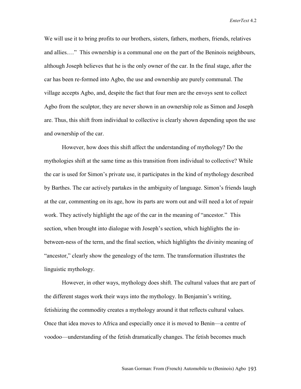We will use it to bring profits to our brothers, sisters, fathers, mothers, friends, relatives and allies.…" This ownership is a communal one on the part of the Beninois neighbours, although Joseph believes that he is the only owner of the car. In the final stage, after the car has been re-formed into Agbo, the use and ownership are purely communal. The village accepts Agbo, and, despite the fact that four men are the envoys sent to collect Agbo from the sculptor, they are never shown in an ownership role as Simon and Joseph are. Thus, this shift from individual to collective is clearly shown depending upon the use and ownership of the car.

 However, how does this shift affect the understanding of mythology? Do the mythologies shift at the same time as this transition from individual to collective? While the car is used for Simon's private use, it participates in the kind of mythology described by Barthes. The car actively partakes in the ambiguity of language. Simon's friends laugh at the car, commenting on its age, how its parts are worn out and will need a lot of repair work. They actively highlight the age of the car in the meaning of "ancestor." This section, when brought into dialogue with Joseph's section, which highlights the inbetween-ness of the term, and the final section, which highlights the divinity meaning of "ancestor," clearly show the genealogy of the term. The transformation illustrates the linguistic mythology.

 However, in other ways, mythology does shift. The cultural values that are part of the different stages work their ways into the mythology. In Benjamin's writing, fetishizing the commodity creates a mythology around it that reflects cultural values. Once that idea moves to Africa and especially once it is moved to Benin—a centre of voodoo—understanding of the fetish dramatically changes. The fetish becomes much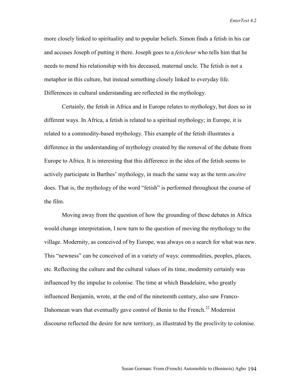more closely linked to spirituality and to popular beliefs. Simon finds a fetish in his car and accuses Joseph of putting it there. Joseph goes to a *feticheur* who tells him that he needs to mend his relationship with his deceased, maternal uncle. The fetish is not a metaphor in this culture, but instead something closely linked to everyday life. Differences in cultural understanding are reflected in the mythology.

Certainly, the fetish in Africa and in Europe relates to mythology, but does so in different ways. In Africa, a fetish is related to a spiritual mythology; in Europe, it is related to a commodity-based mythology. This example of the fetish illustrates a difference in the understanding of mythology created by the removal of the debate from Europe to Africa. It is interesting that this difference in the idea of the fetish seems to actively participate in Barthes' mythology, in much the same way as the term *ancêtre*  does. That is, the mythology of the word "fetish" is performed throughout the course of the film.

 Moving away from the question of how the grounding of these debates in Africa would change interpretation, I now turn to the question of moving the mythology to the village. Modernity, as conceived of by Europe, was always on a search for what was new. This "newness" can be conceived of in a variety of ways: commodities, peoples, places, etc. Reflecting the culture and the cultural values of its time, modernity certainly was influenced by the impulse to colonise. The time at which Baudelaire, who greatly influenced Benjamin, wrote, at the end of the nineteenth century, also saw Franco-Dahomean wars that eventually gave control of Benin to the French.<sup>22</sup> Modernist discourse reflected the desire for new territory, as illustrated by the proclivity to colonise.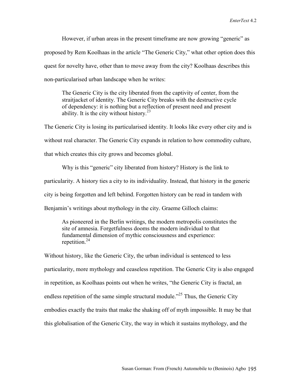However, if urban areas in the present timeframe are now growing "generic" as proposed by Rem Koolhaas in the article "The Generic City," what other option does this quest for novelty have, other than to move away from the city? Koolhaas describes this non-particularised urban landscape when he writes:

The Generic City is the city liberated from the captivity of center, from the straitjacket of identity. The Generic City breaks with the destructive cycle of dependency: it is nothing but a reflection of present need and present ability. It is the city without history. $2^3$ 

The Generic City is losing its particularised identity. It looks like every other city and is without real character. The Generic City expands in relation to how commodity culture, that which creates this city grows and becomes global.

 Why is this "generic" city liberated from history? History is the link to particularity. A history ties a city to its individuality. Instead, that history in the generic city is being forgotten and left behind. Forgotten history can be read in tandem with Benjamin's writings about mythology in the city. Graeme Gilloch claims:

As pioneered in the Berlin writings, the modern metropolis constitutes the site of amnesia. Forgetfulness dooms the modern individual to that fundamental dimension of mythic consciousness and experience: repetition. $24$ 

Without history, like the Generic City, the urban individual is sentenced to less particularity, more mythology and ceaseless repetition. The Generic City is also engaged in repetition, as Koolhaas points out when he writes, "the Generic City is fractal, an endless repetition of the same simple structural module.<sup> $25$ </sup> Thus, the Generic City embodies exactly the traits that make the shaking off of myth impossible. It may be that this globalisation of the Generic City, the way in which it sustains mythology, and the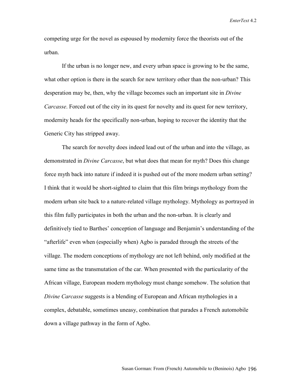competing urge for the novel as espoused by modernity force the theorists out of the urban.

If the urban is no longer new, and every urban space is growing to be the same, what other option is there in the search for new territory other than the non-urban? This desperation may be, then, why the village becomes such an important site in *Divine Carcasse*. Forced out of the city in its quest for novelty and its quest for new territory, modernity heads for the specifically non-urban, hoping to recover the identity that the Generic City has stripped away.

The search for novelty does indeed lead out of the urban and into the village, as demonstrated in *Divine Carcasse*, but what does that mean for myth? Does this change force myth back into nature if indeed it is pushed out of the more modern urban setting? I think that it would be short-sighted to claim that this film brings mythology from the modern urban site back to a nature-related village mythology. Mythology as portrayed in this film fully participates in both the urban and the non-urban. It is clearly and definitively tied to Barthes' conception of language and Benjamin's understanding of the "afterlife" even when (especially when) Agbo is paraded through the streets of the village. The modern conceptions of mythology are not left behind, only modified at the same time as the transmutation of the car. When presented with the particularity of the African village, European modern mythology must change somehow. The solution that *Divine Carcasse* suggests is a blending of European and African mythologies in a complex, debatable, sometimes uneasy, combination that parades a French automobile down a village pathway in the form of Agbo.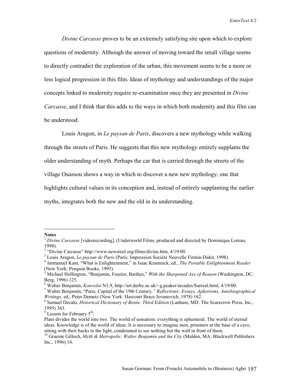*Divine Carcasse* proves to be an extremely satisfying site upon which to explore questions of modernity. Although the answer of moving toward the small village seems to directly contradict the exploration of the urban, this movement seems to be a more or less logical progression in this film. Ideas of mythology and understandings of the major concepts linked to modernity require re-examination once they are presented in *Divine Carcasse*, and I think that this adds to the ways in which both modernity and this film can be understood.

 Louis Aragon, in *Le paysan de Paris*, discovers a new mythology while walking through the streets of Paris. He suggests that this new mythology entirely supplants the older understanding of myth. Perhaps the car that is carried through the streets of the village Ouassou shows a way in which to discover a new new mythology, one that highlights cultural values in its conception and, instead of entirely supplanting the earlier myths, integrates both the new and the old in its understanding.

 $\overline{a}$ 

**Notes** 

<sup>&</sup>lt;sup>1</sup> Divine Carcasse [videorecording], (Underworld Films, produced and directed by Dominique Loreau, 1998).

<sup>&</sup>lt;sup>2</sup> "Divine Carcasse" http://www.newsreel.org/films/divine.htm, 4/19/00.

<sup>&</sup>lt;sup>3</sup> Louis Aragon, *Le paysan de Paris* (Paris: Impression Société Nouvelle Firmin-Didot, 1998).

<sup>&</sup>lt;sup>4</sup> Immanuel Kant, "What is Enlightenment," in Isaac Kramnick, ed., *The Portable Enlightenment Reader* (New York: Penguin Books, 1995).

Michael Hollington, "Benjamin, Fourier, Barthes," *With the Sharpened Axe of Reason* (Washington, DC: Berg, 1996) 125.

<sup>&</sup>lt;sup>6</sup> Walter Benjamin, *Konvolut* N1,9, http://art.derby.ac.uk/~g.peaker/arcades/Surreal.html, 4/19/00.

Walter Benjamin, "Paris, Capital of the 19th Century*," Reflections: Essays, Aphorisms, Autobiographical Writings, ed., Peter Demetz (New York: Harcourt Brace Jovanovich, 1978) 162.* 

Samuel Decalo, *Historical Dictionary of Benin: Third Edition* (Lanham, MD: The Scarecrow Press, Inc., 1995) 363.

 $9^9$  Lesson for February  $5^{\text{th}}$ :

Plato divides the world into two. The world of sensation: everything is ephemeral. The world of eternal ideas. Knowledge is of the world of ideas. It is necessary to imagine men, prisoners at the base of a cave, sitting with their backs to the light, condemned to see nothing but the wall in front of them.

<sup>10</sup> Graeme Gilloch, *Myth & Metropolis: Walter Benjamin and the City* (Malden, MA: Blackwell Publishers Inc., 1996) 14.